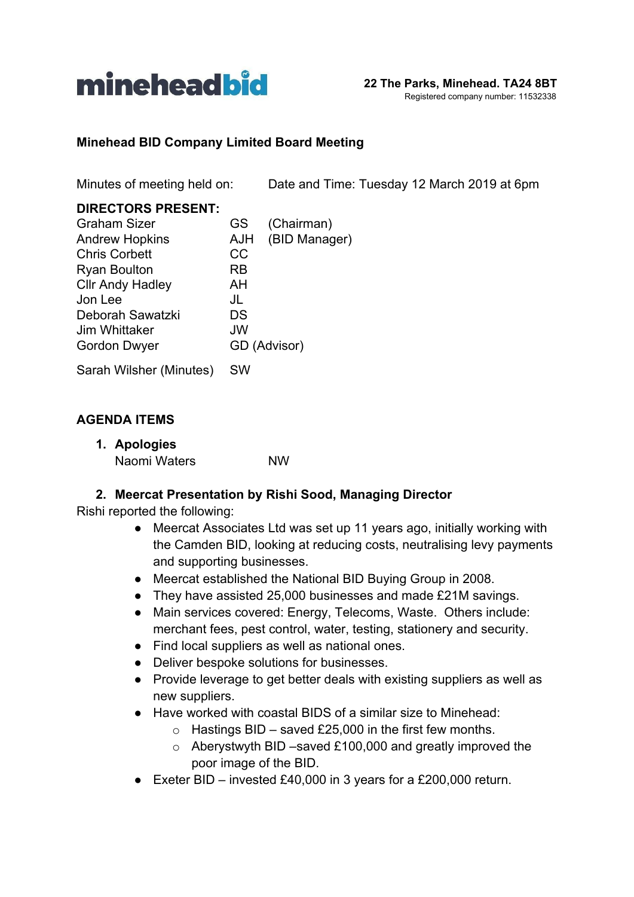

#### **Minehead BID Company Limited Board Meeting**

Minutes of meeting held on: Date and Time: Tuesday 12 March 2019 at 6pm

| <b>DIRECTORS PRESENT:</b> |              |               |
|---------------------------|--------------|---------------|
| <b>Graham Sizer</b>       | GS           | (Chairman)    |
| <b>Andrew Hopkins</b>     | <b>AJH</b>   | (BID Manager) |
| <b>Chris Corbett</b>      | CC           |               |
| <b>Ryan Boulton</b>       | RB           |               |
| <b>Cllr Andy Hadley</b>   | AH           |               |
| Jon Lee                   | JL           |               |
| Deborah Sawatzki          | DS           |               |
| Jim Whittaker             | JW           |               |
| Gordon Dwyer              | GD (Advisor) |               |
| Sarah Wilsher (Minutes)   | SW           |               |

#### **AGENDA ITEMS**

| 1. Apologies |           |
|--------------|-----------|
| Naomi Waters | <b>NW</b> |

#### **2. Meercat Presentation by Rishi Sood, Managing Director**

Rishi reported the following:

- Meercat Associates Ltd was set up 11 years ago, initially working with the Camden BID, looking at reducing costs, neutralising levy payments and supporting businesses.
- Meercat established the National BID Buying Group in 2008.
- They have assisted 25,000 businesses and made £21M savings.
- Main services covered: Energy, Telecoms, Waste. Others include: merchant fees, pest control, water, testing, stationery and security.
- Find local suppliers as well as national ones.
- Deliver bespoke solutions for businesses.
- Provide leverage to get better deals with existing suppliers as well as new suppliers.
- Have worked with coastal BIDS of a similar size to Minehead:
	- $\circ$  Hastings BID saved £25,000 in the first few months.
	- o Aberystwyth BID –saved £100,000 and greatly improved the poor image of the BID.
- Exeter BID invested £40,000 in 3 years for a £200,000 return.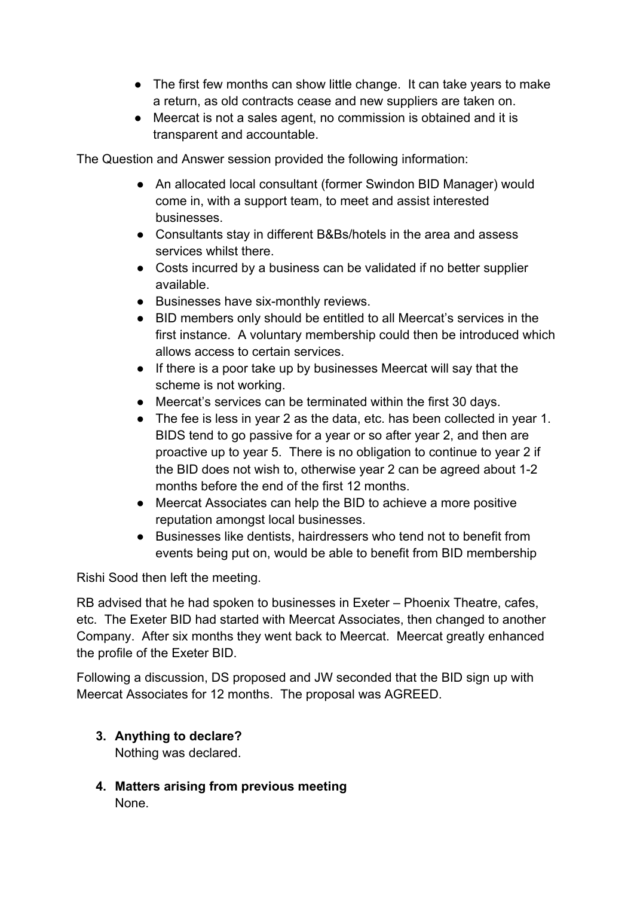- The first few months can show little change. It can take years to make a return, as old contracts cease and new suppliers are taken on.
- Meercat is not a sales agent, no commission is obtained and it is transparent and accountable.

The Question and Answer session provided the following information:

- *●* An allocated local consultant (former Swindon BID Manager) would come in, with a support team, to meet and assist interested businesses.
- *●* Consultants stay in different B&Bs/hotels in the area and assess services whilst there.
- *●* Costs incurred by a business can be validated if no better supplier available.
- *●* Businesses have six-monthly reviews.
- *●* BID members only should be entitled to all Meercat's services in the first instance. A voluntary membership could then be introduced which allows access to certain services.
- *●* If there is a poor take up by businesses Meercat will say that the scheme is not working.
- *●* Meercat's services can be terminated within the first 30 days.
- *●* The fee is less in year 2 as the data, etc. has been collected in year 1. BIDS tend to go passive for a year or so after year 2, and then are proactive up to year 5. There is no obligation to continue to year 2 if the BID does not wish to, otherwise year 2 can be agreed about 1-2 months before the end of the first 12 months.
- *●* Meercat Associates can help the BID to achieve a more positive reputation amongst local businesses.
- *●* Businesses like dentists, hairdressers who tend not to benefit from events being put on, would be able to benefit from BID membership

Rishi Sood then left the meeting.

RB advised that he had spoken to businesses in Exeter – Phoenix Theatre, cafes, etc. The Exeter BID had started with Meercat Associates, then changed to another Company. After six months they went back to Meercat. Meercat greatly enhanced the profile of the Exeter BID.

Following a discussion, DS proposed and JW seconded that the BID sign up with Meercat Associates for 12 months. The proposal was AGREED.

**3. Anything to declare?** Nothing was declared.

**4. Matters arising from previous meeting** None.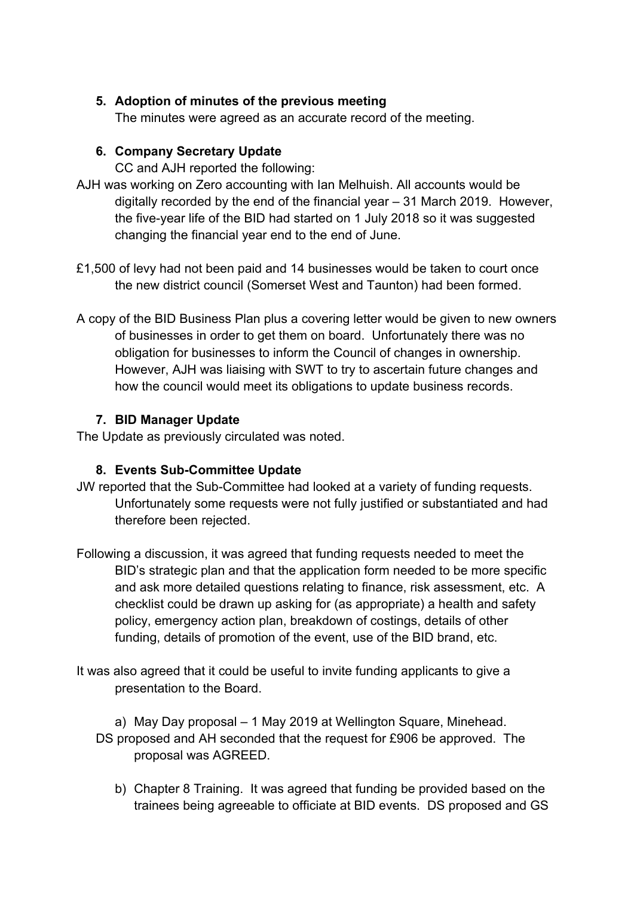## **5. Adoption of minutes of the previous meeting**

The minutes were agreed as an accurate record of the meeting.

### **6. Company Secretary Update**

CC and AJH reported the following:

- AJH was working on Zero accounting with Ian Melhuish. All accounts would be digitally recorded by the end of the financial year – 31 March 2019. However, the five-year life of the BID had started on 1 July 2018 so it was suggested changing the financial year end to the end of June.
- £1,500 of levy had not been paid and 14 businesses would be taken to court once the new district council (Somerset West and Taunton) had been formed.
- A copy of the BID Business Plan plus a covering letter would be given to new owners of businesses in order to get them on board. Unfortunately there was no obligation for businesses to inform the Council of changes in ownership. However, AJH was liaising with SWT to try to ascertain future changes and how the council would meet its obligations to update business records.

## **7. BID Manager Update**

The Update as previously circulated was noted.

#### **8. Events Sub-Committee Update**

- JW reported that the Sub-Committee had looked at a variety of funding requests. Unfortunately some requests were not fully justified or substantiated and had therefore been rejected.
- Following a discussion, it was agreed that funding requests needed to meet the BID's strategic plan and that the application form needed to be more specific and ask more detailed questions relating to finance, risk assessment, etc. A checklist could be drawn up asking for (as appropriate) a health and safety policy, emergency action plan, breakdown of costings, details of other funding, details of promotion of the event, use of the BID brand, etc.
- It was also agreed that it could be useful to invite funding applicants to give a presentation to the Board.

a) May Day proposal – 1 May 2019 at Wellington Square, Minehead. DS proposed and AH seconded that the request for £906 be approved. The proposal was AGREED.

b) Chapter 8 Training. It was agreed that funding be provided based on the trainees being agreeable to officiate at BID events. DS proposed and GS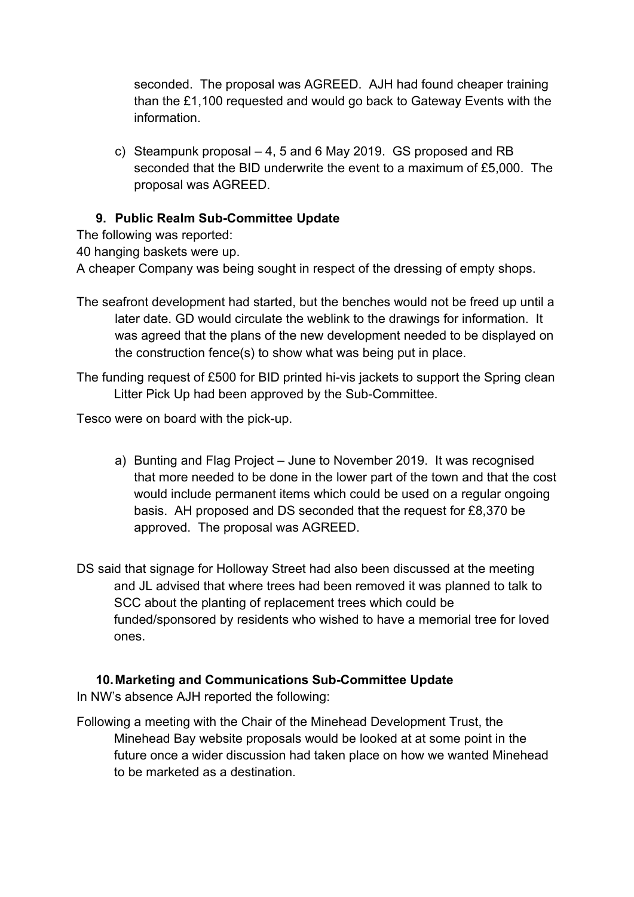seconded. The proposal was AGREED. AJH had found cheaper training than the £1,100 requested and would go back to Gateway Events with the information.

c) Steampunk proposal – 4, 5 and 6 May 2019. GS proposed and RB seconded that the BID underwrite the event to a maximum of £5,000. The proposal was AGREED.

# **9. Public Realm Sub-Committee Update**

The following was reported:

40 hanging baskets were up.

A cheaper Company was being sought in respect of the dressing of empty shops.

- The seafront development had started, but the benches would not be freed up until a later date. GD would circulate the weblink to the drawings for information. It was agreed that the plans of the new development needed to be displayed on the construction fence(s) to show what was being put in place.
- The funding request of £500 for BID printed hi-vis jackets to support the Spring clean Litter Pick Up had been approved by the Sub-Committee.

Tesco were on board with the pick-up.

- a) Bunting and Flag Project June to November 2019. It was recognised that more needed to be done in the lower part of the town and that the cost would include permanent items which could be used on a regular ongoing basis. AH proposed and DS seconded that the request for £8,370 be approved. The proposal was AGREED.
- DS said that signage for Holloway Street had also been discussed at the meeting and JL advised that where trees had been removed it was planned to talk to SCC about the planting of replacement trees which could be funded/sponsored by residents who wished to have a memorial tree for loved ones.

#### **10.Marketing and Communications Sub-Committee Update**

In NW's absence AJH reported the following:

Following a meeting with the Chair of the Minehead Development Trust, the Minehead Bay website proposals would be looked at at some point in the future once a wider discussion had taken place on how we wanted Minehead to be marketed as a destination.